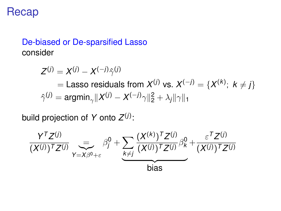## Recap

## De-biased or De-sparsified Lasso consider

 $Z^{(j)} = X^{(j)} - X^{(-j)}\hat{\gamma}^{(j)}$  $\mathcal{X}^{(j)}$  vs.  $\mathcal{X}^{(-j)} = \{X^{(k)};~k \neq j\}$  $\hat{\gamma}^{(j)} = \mathsf{argmin}_{\gamma} \|X^{(j)} - X^{(-j)}\gamma\|_2^2 + \lambda_j \|\gamma\|_1$ 

build projection of *Y* onto *Z* (*j*) :

$$
\frac{Y^{T}Z^{(j)}}{(X^{(j)})^{T}Z^{(j)}}\sum_{Y=X\beta^{0}+\varepsilon}\beta_{j}^{0}+\sum_{\substack{k\neq j}}\frac{(X^{(k)})^{T}Z^{(j)}}{(X^{(j)})^{T}Z^{(j)}}\beta_{k}^{0}+\frac{\varepsilon^{T}Z^{(j)}}{(X^{(j)})^{T}Z^{(j)}}
$$
bias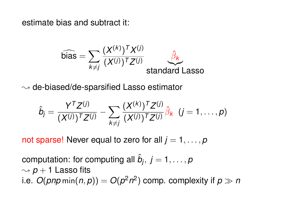estimate bias and subtract it:

$$
\widehat{\text{bias}} = \sum_{k \neq j} \frac{(X^{(k)})^T X^{(j)}}{(X^{(j)})^T Z^{(j)}} \underbrace{\widehat{\beta}_k}_{\text{standard Lasso}}
$$

 $\rightsquigarrow$  de-biased/de-sparsified Lasso estimator

$$
\hat{b}_j = \frac{Y^T Z^{(j)}}{(X^{(j)})^T Z^{(j)}} - \sum_{k \neq j} \frac{(X^{(k)})^T Z^{(j)}}{(X^{(j)})^T Z^{(j)}} \hat{\beta}_k \ \ (j = 1, \ldots, p)
$$

not sparse! Never equal to zero for all  $j = 1, \ldots, p$ 

computation: for computing all  $\hat{b}_j,\ j=1,\ldots,p$  $\sim p + 1$  Lasso fits i.e.  $O(\textit{pnp}\min(n,p)) = O(\textit{p}^2\textit{n}^2)$  comp. complexity if  $\textit{p} \gg \textit{n}$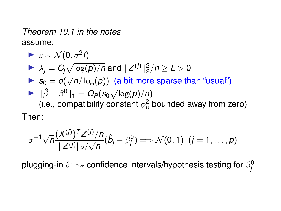*Theorem 10.1 in the notes* assume:

\n- $$
\varepsilon \sim \mathcal{N}(0, \sigma^2 I)
$$
\n- $\lambda_j = C_j \sqrt{\log(p)/n}$  and  $||Z^{(j)}||_2^2/n \geq L > 0$
\n- $s_0 = o(\sqrt{n}/\log(p))$  (a bit more sparse than "usual")
\n- $||\hat{\beta} - \beta^0||_1 = O_P(s_0 \sqrt{\log(p)/n})$  (i.e., compatibility constant  $\phi_0^2$  bounded away from zero)
\n- Then:
\n

$$
\sigma^{-1}\sqrt{n}\frac{(X^{(j)})^T Z^{(j)}/n}{\|Z^{(j)}\|_2/\sqrt{n}}(\hat{b}_j-\beta_j^0)\Longrightarrow\mathcal{N}(0,1) \ \ (j=1,\ldots,p)
$$

plugging-in  $\hat{\sigma}$ :  $\sim$  confidence intervals/hypothesis testing for  $\beta^0_j$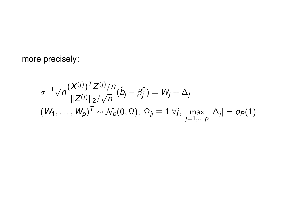more precisely:

$$
\sigma^{-1}\sqrt{n}\frac{(X^{(j)})^T Z^{(j)}/n}{\|Z^{(j)}\|_2/\sqrt{n}}(\hat{b}_j-\beta_j^0)=W_j+\Delta_j
$$
  

$$
(W_1,\ldots,W_p)^T \sim \mathcal{N}_p(0,\Omega), \ \Omega_{jj}\equiv 1 \ \forall j, \ \max_{j=1,\ldots,p}|\Delta_j| = o_P(1)
$$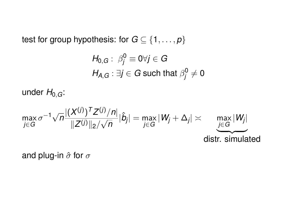test for group hypothesis: for  $G \subseteq \{1, \ldots, p\}$ 

$$
\begin{aligned} H_{0,G}: \ \beta_j^0 &\equiv 0 \forall j \in G \\ H_{A,G}: \exists j \in G \ \text{such that} \ \beta_j^0 \neq 0 \end{aligned}
$$

under  $H_{0,G}$ :

$$
\max_{j\in G} \sigma^{-1}\sqrt{n}\frac{|(X^{(j)})^T Z^{(j)}/n|}{\|Z^{(j)}\|_2/\sqrt{n}}|\hat{b}_j| = \max_{j\in G}|W_j + \Delta_j| \times \underbrace{\max_{j\in G}|W_j|}_{\text{distr. simulated}}
$$

and plug-in  $\hat{\sigma}$  for  $\sigma$